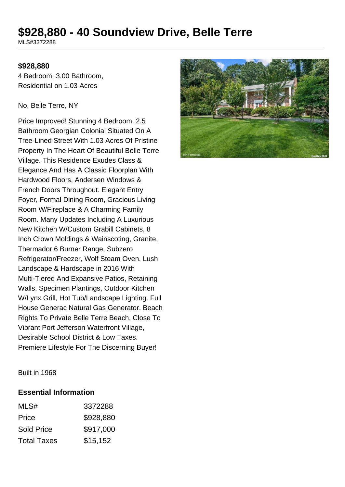# **\$928,880 - 40 Soundview Drive, Belle Terre**

MLS#3372288

#### **\$928,880**

4 Bedroom, 3.00 Bathroom, Residential on 1.03 Acres

#### No, Belle Terre, NY

Price Improved! Stunning 4 Bedroom, 2.5 Bathroom Georgian Colonial Situated On A Tree-Lined Street With 1.03 Acres Of Pristine Property In The Heart Of Beautiful Belle Terre Village. This Residence Exudes Class & Elegance And Has A Classic Floorplan With Hardwood Floors, Andersen Windows & French Doors Throughout. Elegant Entry Foyer, Formal Dining Room, Gracious Living Room W/Fireplace & A Charming Family Room. Many Updates Including A Luxurious New Kitchen W/Custom Grabill Cabinets, 8 Inch Crown Moldings & Wainscoting, Granite, Thermador 6 Burner Range, Subzero Refrigerator/Freezer, Wolf Steam Oven. Lush Landscape & Hardscape in 2016 With Multi-Tiered And Expansive Patios, Retaining Walls, Specimen Plantings, Outdoor Kitchen W/Lynx Grill, Hot Tub/Landscape Lighting. Full House Generac Natural Gas Generator. Beach Rights To Private Belle Terre Beach, Close To Vibrant Port Jefferson Waterfront Village, Desirable School District & Low Taxes. Premiere Lifestyle For The Discerning Buyer!



Built in 1968

#### **Essential Information**

| MLS#               | 3372288   |
|--------------------|-----------|
| Price              | \$928,880 |
| <b>Sold Price</b>  | \$917,000 |
| <b>Total Taxes</b> | \$15,152  |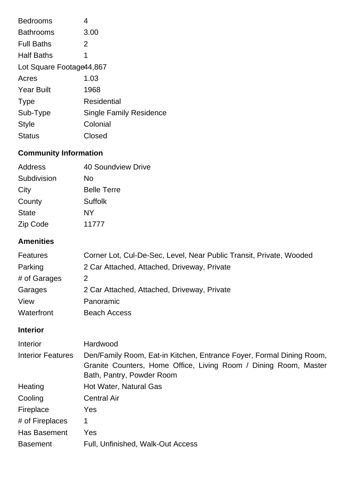| <b>Bedrooms</b>           | 4                              |  |
|---------------------------|--------------------------------|--|
| <b>Bathrooms</b>          | 3.00                           |  |
| <b>Full Baths</b>         | 2                              |  |
| <b>Half Baths</b>         | 1                              |  |
| Lot Square Footage 44,867 |                                |  |
| Acres                     | 1.03                           |  |
| <b>Year Built</b>         | 1968                           |  |
| <b>Type</b>               | Residential                    |  |
| Sub-Type                  | <b>Single Family Residence</b> |  |
| <b>Style</b>              | Colonial                       |  |
| <b>Status</b>             | Closed                         |  |

## **Community Information**

| Address      | 40 Soundview Drive |
|--------------|--------------------|
| Subdivision  | No                 |
| City         | <b>Belle Terre</b> |
| County       | <b>Suffolk</b>     |
| <b>State</b> | NY                 |
| Zip Code     | 11777              |
|              |                    |

## **Amenities**

| <b>Features</b> | Corner Lot, Cul-De-Sec, Level, Near Public Transit, Private, Wooded |
|-----------------|---------------------------------------------------------------------|
| Parking         | 2 Car Attached, Attached, Driveway, Private                         |
| # of Garages    | 2                                                                   |
| Garages         | 2 Car Attached, Attached, Driveway, Private                         |
| View            | Panoramic                                                           |
| Waterfront      | <b>Beach Access</b>                                                 |

## **Interior**

| Interior                 | Hardwood                                                                                                                                                              |
|--------------------------|-----------------------------------------------------------------------------------------------------------------------------------------------------------------------|
| <b>Interior Features</b> | Den/Family Room, Eat-in Kitchen, Entrance Foyer, Formal Dining Room,<br>Granite Counters, Home Office, Living Room / Dining Room, Master<br>Bath, Pantry, Powder Room |
| Heating                  | Hot Water, Natural Gas                                                                                                                                                |
| Cooling                  | <b>Central Air</b>                                                                                                                                                    |
| Fireplace                | Yes                                                                                                                                                                   |
| # of Fireplaces          | 1                                                                                                                                                                     |
| Has Basement             | Yes                                                                                                                                                                   |
| <b>Basement</b>          | Full, Unfinished, Walk-Out Access                                                                                                                                     |